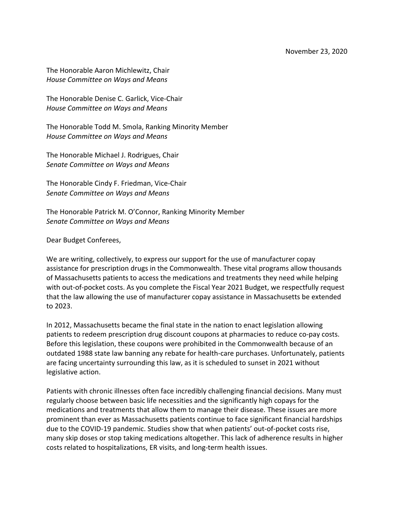The Honorable Aaron Michlewitz, Chair *House Committee on Ways and Means*

The Honorable Denise C. Garlick, Vice-Chair *House Committee on Ways and Means*

The Honorable Todd M. Smola, Ranking Minority Member *House Committee on Ways and Means*

The Honorable Michael J. Rodrigues, Chair *Senate Committee on Ways and Means*

The Honorable Cindy F. Friedman, Vice-Chair *Senate Committee on Ways and Means*

The Honorable Patrick M. O'Connor, Ranking Minority Member *Senate Committee on Ways and Means*

Dear Budget Conferees,

We are writing, collectively, to express our support for the use of manufacturer copay assistance for prescription drugs in the Commonwealth. These vital programs allow thousands of Massachusetts patients to access the medications and treatments they need while helping with out-of-pocket costs. As you complete the Fiscal Year 2021 Budget, we respectfully request that the law allowing the use of manufacturer copay assistance in Massachusetts be extended to 2023.

In 2012, Massachusetts became the final state in the nation to enact legislation allowing patients to redeem prescription drug discount coupons at pharmacies to reduce co-pay costs. Before this legislation, these coupons were prohibited in the Commonwealth because of an outdated 1988 state law banning any rebate for health-care purchases. Unfortunately, patients are facing uncertainty surrounding this law, as it is scheduled to sunset in 2021 without legislative action.

Patients with chronic illnesses often face incredibly challenging financial decisions. Many must regularly choose between basic life necessities and the significantly high copays for the medications and treatments that allow them to manage their disease. These issues are more prominent than ever as Massachusetts patients continue to face significant financial hardships due to the COVID-19 pandemic. Studies show that when patients' out-of-pocket costs rise, many skip doses or stop taking medications altogether. This lack of adherence results in higher costs related to hospitalizations, ER visits, and long-term health issues.